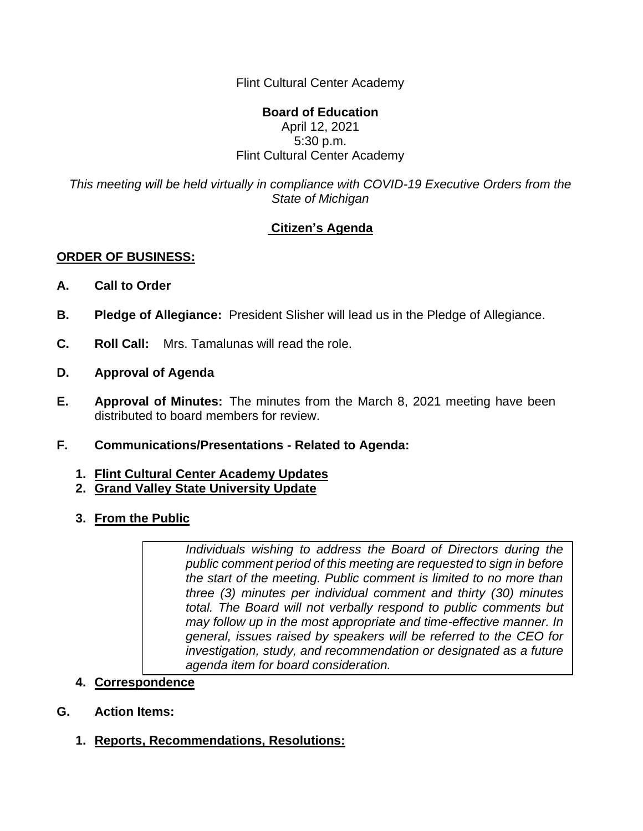Flint Cultural Center Academy

## **Board of Education**

April 12, 2021 5:30 p.m. Flint Cultural Center Academy

*This meeting will be held virtually in compliance with COVID-19 Executive Orders from the State of Michigan*

## **Citizen's Agenda**

## **ORDER OF BUSINESS:**

- **A. Call to Order**
- **B. Pledge of Allegiance:** President Slisher will lead us in the Pledge of Allegiance.
- **C. Roll Call:** Mrs. Tamalunas will read the role.
- **D. Approval of Agenda**
- **E. Approval of Minutes:** The minutes from the March 8, 2021 meeting have been distributed to board members for review.
- **F. Communications/Presentations - Related to Agenda:**
	- **1. Flint Cultural Center Academy Updates**
	- **2. Grand Valley State University Update**
	- **3. From the Public**

*Individuals wishing to address the Board of Directors during the public comment period of this meeting are requested to sign in before the start of the meeting. Public comment is limited to no more than three (3) minutes per individual comment and thirty (30) minutes total. The Board will not verbally respond to public comments but may follow up in the most appropriate and time-effective manner. In general, issues raised by speakers will be referred to the CEO for investigation, study, and recommendation or designated as a future agenda item for board consideration.*

- **4. Correspondence**
- **G. Action Items:**
	- **1. Reports, Recommendations, Resolutions:**